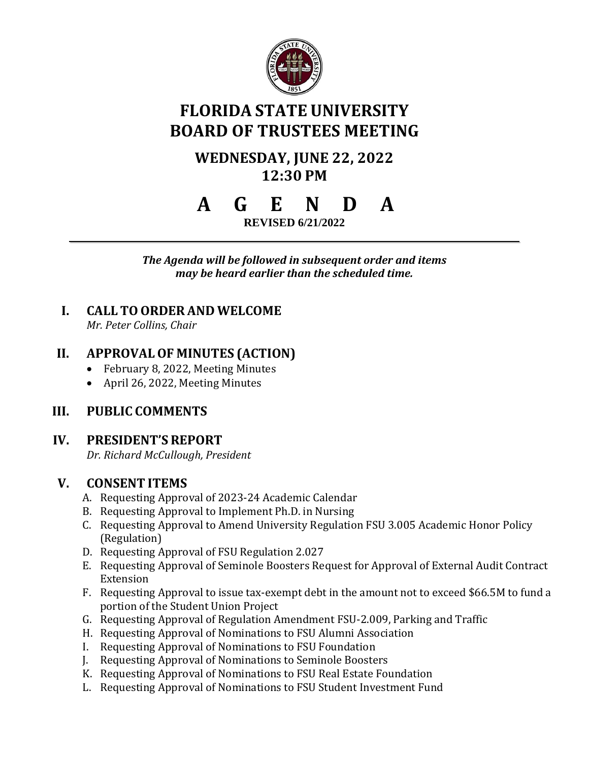

# **FLORIDA STATE UNIVERSITY BOARD OF TRUSTEES MEETING**

## **WEDNESDAY, JUNE 22, 2022 12:30 PM**

# **A G E N D A**

**REVISED 6/21/2022**

*The Agenda will be followed in subsequent order and items may be heard earlier than the scheduled time.*

## **I. CALL TOORDER AND WELCOME**

*Mr. Peter Collins, Chair*

## **II. APPROVALOF MINUTES (ACTION)**

- February 8, 2022, Meeting Minutes
- April 26, 2022, Meeting Minutes

## **III. PUBLIC COMMENTS**

## **IV. PRESIDENT'S REPORT**

*Dr. Richard McCullough, President*

## **V. CONSENT ITEMS**

- A. Requesting Approval of 2023-24 Academic Calendar
- B. Requesting Approval to Implement Ph.D. in Nursing
- C. Requesting Approval to Amend University Regulation FSU 3.005 Academic Honor Policy (Regulation)
- D. Requesting Approval of FSU Regulation 2.027
- E. Requesting Approval of Seminole Boosters Request for Approval of External Audit Contract Extension
- F. Requesting Approval to issue tax-exempt debt in the amount not to exceed \$66.5M to fund a portion of the Student Union Project
- G. Requesting Approval of Regulation Amendment FSU-2.009, Parking and Traffic
- H. Requesting Approval of Nominations to FSU Alumni Association
- I. Requesting Approval of Nominations to FSU Foundation
- J. Requesting Approval of Nominations to Seminole Boosters
- K. Requesting Approval of Nominations to FSU Real Estate Foundation
- L. Requesting Approval of Nominations to FSU Student Investment Fund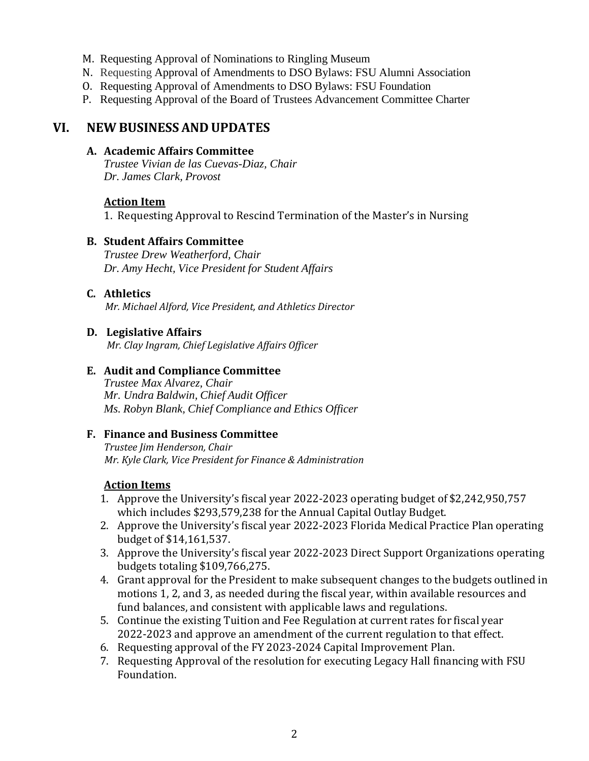- M. Requesting Approval of Nominations to Ringling Museum
- N. Requesting Approval of Amendments to DSO Bylaws: FSU Alumni Association
- O. Requesting Approval of Amendments to DSO Bylaws: FSU Foundation
- P. Requesting Approval of the Board of Trustees Advancement Committee Charter

#### **VI. NEW BUSINESS AND UPDATES**

#### **A. Academic Affairs Committee**

*Trustee Vivian de las Cuevas-Diaz, Chair Dr. James Clark, Provost*

#### **Action Item**

1. Requesting Approval to Rescind Termination of the Master's in Nursing

#### **B. Student Affairs Committee**

*Trustee Drew Weatherford, Chair Dr. Amy Hecht, Vice President for Student Affairs*

#### **C. Athletics**

*Mr. Michael Alford, Vice President, and Athletics Director*

#### **D. Legislative Affairs**

*Mr. Clay Ingram, Chief Legislative Affairs Officer*

#### **E. Audit and Compliance Committee**

*Trustee Max Alvarez, Chair Mr. Undra Baldwin, Chief Audit Officer Ms. Robyn Blank, Chief Compliance and Ethics Officer*

#### **F. Finance and Business Committee**

*Trustee Jim Henderson, Chair Mr. Kyle Clark, Vice President for Finance & Administration*

#### **Action Items**

- 1. Approve the University's fiscal year 2022-2023 operating budget of \$2,242,950,757 which includes \$293,579,238 for the Annual Capital Outlay Budget.
- 2. Approve the University's fiscal year 2022-2023 Florida Medical Practice Plan operating budget of \$14,161,537.
- 3. Approve the University's fiscal year 2022-2023 Direct Support Organizations operating budgets totaling \$109,766,275.
- 4. Grant approval for the President to make subsequent changes to the budgets outlined in motions 1, 2, and 3, as needed during the fiscal year, within available resources and fund balances, and consistent with applicable laws and regulations.
- 5. Continue the existing Tuition and Fee Regulation at current rates for fiscal year 2022-2023 and approve an amendment of the current regulation to that effect.
- 6. Requesting approval of the FY 2023-2024 Capital Improvement Plan.
- 7. Requesting Approval of the resolution for executing Legacy Hall financing with FSU Foundation.